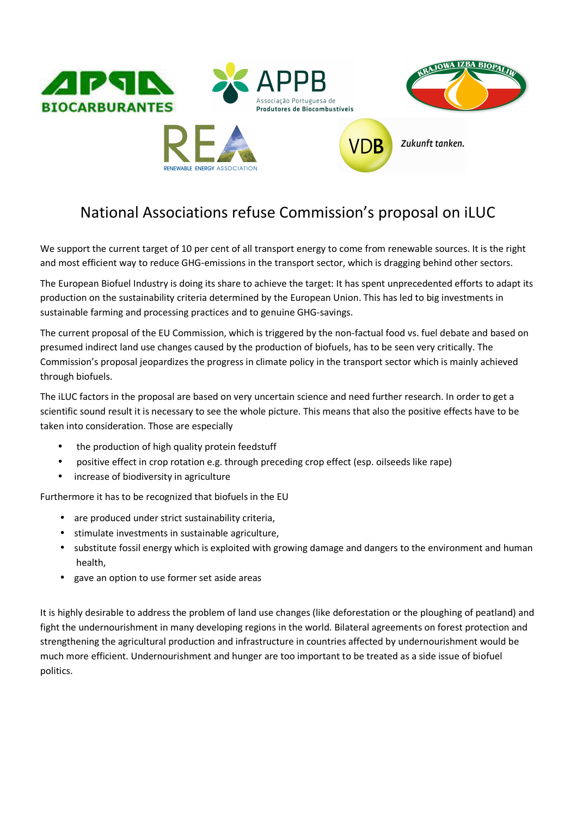

## National Associations refuse Commission's proposal on iLUC

We support the current target of 10 per cent of all transport energy to come from renewable sources. It is the right and most efficient way to reduce GHG-emissions in the transport sector, which is dragging behind other sectors.

The European Biofuel Industry is doing its share to achieve the target: It has spent unprecedented efforts to adapt its production on the sustainability criteria determined by the European Union. This has led to big investments in sustainable farming and processing practices and to genuine GHG-savings.

The current proposal of the EU Commission, which is triggered by the non-factual food vs. fuel debate and based on presumed indirect land use changes caused by the production of biofuels, has to be seen very critically. The Commission's proposal jeopardizes the progress in climate policy in the transport sector which is mainly achieved through biofuels.

The iLUC factors in the proposal are based on very uncertain science and need further research. In order to get a scientific sound result it is necessary to see the whole picture. This means that also the positive effects have to be taken into consideration. Those are especially

- the production of high quality protein feedstuff
- positive effect in crop rotation e.g. through preceding crop effect (esp. oilseeds like rape)
- increase of biodiversity in agriculture

Furthermore it has to be recognized that biofuels in the EU

- are produced under strict sustainability criteria,
- stimulate investments in sustainable agriculture,
- substitute fossil energy which is exploited with growing damage and dangers to the environment and human health,
- gave an option to use former set aside areas

It is highly desirable to address the problem of land use changes (like deforestation or the ploughing of peatland) and fight the undernourishment in many developing regions in the world. Bilateral agreements on forest protection and strengthening the agricultural production and infrastructure in countries affected by undernourishment would be much more efficient. Undernourishment and hunger are too important to be treated as a side issue of biofuel politics.